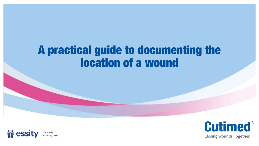# A practical guide to documenting the location of a wound



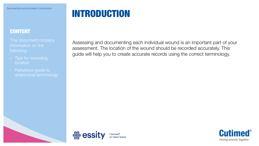## INTRODUCTION

#### **CONTENT**

This document contains information on the

- **location**
- anatomical terminology

Assessing and documenting each individual wound is an important part of your assessment. The location of the wound should be recorded accurately. This guide will help you to create accurate records using the correct terminology.



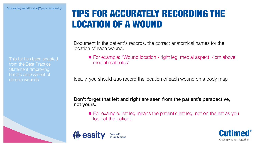This list has been adapted from the Best Practice Statement "Improving holistic assessment of chronic wounds"

### TIPS FOR ACCURATELY RECORDING THE LOCATION OF A WOUND

Document in the patient's records, the correct anatomical names for the location of each wound.

For example: "Wound location - right leg, medial aspect, 4cm above medial malleolus"

Ideally, you should also record the location of each wound on a body map

Don't forget that left and right are seen from the patient's perspective, not yours.

For example: left leg means the patient's left leg, not on the left as you look at the patient.



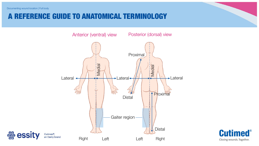#### A REFERENCE GUIDE TO ANATOMICAL TERMINOLOGY



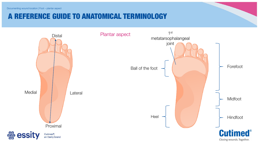### A REFERENCE GUIDE TO ANATOMICAL TERMINOLOGY

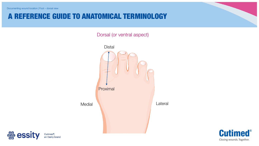### A REFERENCE GUIDE TO ANATOMICAL TERMINOLOGY

Dorsal (or ventral aspect)





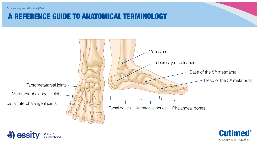#### Documenting wound location | Feet

#### A REFERENCE GUIDE TO ANATOMICAL TERMINOLOGY





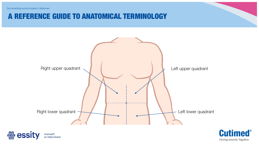Documenting wound location | Abdomen

#### A REFERENCE GUIDE TO ANATOMICAL TERMINOLOGY



**▒ essity** Cutimed<sup>®</sup>, an Essity brand